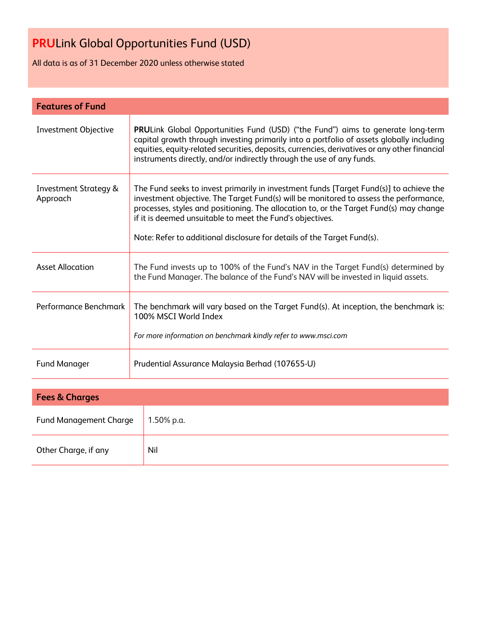All data is as of 31 December 2020 unless otherwise stated

| <b>Features of Fund</b>                      |                                                                                                                                                                                                                                                                                                                                                                                                                   |
|----------------------------------------------|-------------------------------------------------------------------------------------------------------------------------------------------------------------------------------------------------------------------------------------------------------------------------------------------------------------------------------------------------------------------------------------------------------------------|
| <b>Investment Objective</b>                  | <b>PRULink Global Opportunities Fund (USD) ("the Fund") aims to generate long-term</b><br>capital growth through investing primarily into a portfolio of assets globally including<br>equities, equity-related securities, deposits, currencies, derivatives or any other financial<br>instruments directly, and/or indirectly through the use of any funds.                                                      |
| <b>Investment Strategy &amp;</b><br>Approach | The Fund seeks to invest primarily in investment funds [Target Fund(s)] to achieve the<br>investment objective. The Target Fund(s) will be monitored to assess the performance,<br>processes, styles and positioning. The allocation to, or the Target Fund(s) may change<br>if it is deemed unsuitable to meet the Fund's objectives.<br>Note: Refer to additional disclosure for details of the Target Fund(s). |
| <b>Asset Allocation</b>                      | The Fund invests up to 100% of the Fund's NAV in the Target Fund(s) determined by<br>the Fund Manager. The balance of the Fund's NAV will be invested in liquid assets.                                                                                                                                                                                                                                           |
| Performance Benchmark                        | The benchmark will vary based on the Target Fund(s). At inception, the benchmark is:<br>100% MSCI World Index<br>For more information on benchmark kindly refer to www.msci.com                                                                                                                                                                                                                                   |
| <b>Fund Manager</b>                          | Prudential Assurance Malaysia Berhad (107655-U)                                                                                                                                                                                                                                                                                                                                                                   |
|                                              |                                                                                                                                                                                                                                                                                                                                                                                                                   |

| <b>Fees &amp; Charges</b>     |            |  |  |  |
|-------------------------------|------------|--|--|--|
| <b>Fund Management Charge</b> | 1.50% p.a. |  |  |  |
| Other Charge, if any          | Nil        |  |  |  |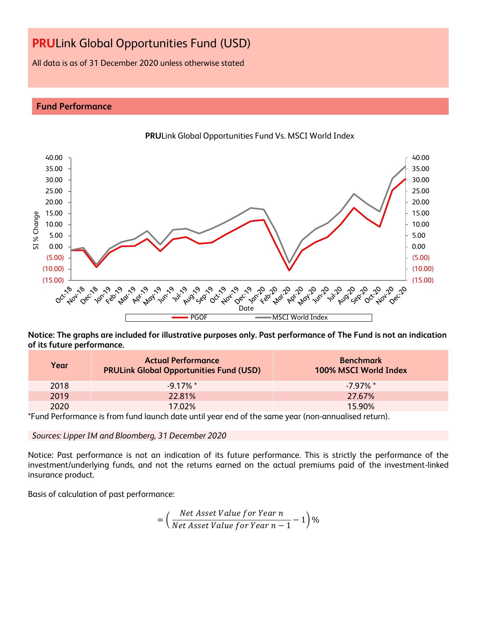All data is as of 31 December 2020 unless otherwise stated

## **Fund Performance**



**PRU**Link Global Opportunities Fund Vs. MSCI World Index

**Notice: The graphs are included for illustrative purposes only. Past performance of The Fund is not an indication of its future performance.**

| Year | <b>Actual Performance</b><br><b>PRULink Global Opportunities Fund (USD)</b> | <b>Benchmark</b><br>100% MSCI World Index |
|------|-----------------------------------------------------------------------------|-------------------------------------------|
| 2018 | $-9.17\%$ *                                                                 | $-7.97\%$ *                               |
| 2019 | 22.81%                                                                      | 27.67%                                    |
| 2020 | 17.02%                                                                      | 15.90%                                    |

\*Fund Performance is from fund launch date until year end of the same year (non-annualised return).

*Sources: Lipper IM and Bloomberg, 31 December 2020*

Notice: Past performance is not an indication of its future performance. This is strictly the performance of the investment/underlying funds, and not the returns earned on the actual premiums paid of the investment-linked insurance product.

Basis of calculation of past performance:

$$
= \left(\frac{Net\text{ Asset Value for Year }n}{Net\text{ Asset Value for Year }n-1}-1\right)\%
$$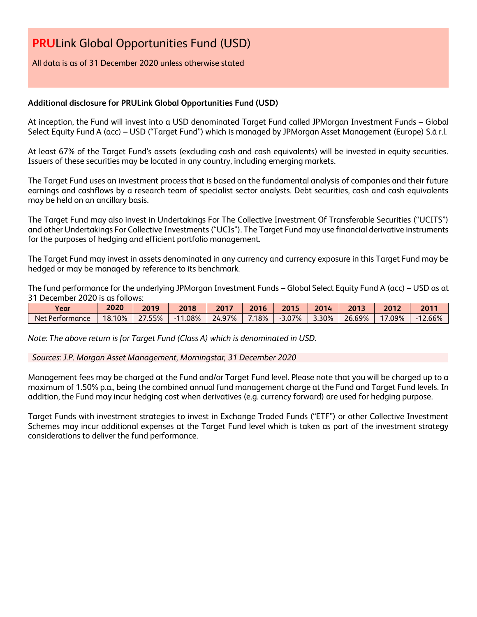All data is as of 31 December 2020 unless otherwise stated

## **Additional disclosure for PRULink Global Opportunities Fund (USD)**

At inception, the Fund will invest into a USD denominated Target Fund called JPMorgan Investment Funds – Global Select Equity Fund A (acc) – USD ("Target Fund") which is managed by JPMorgan Asset Management (Europe) S.à r.l.

At least 67% of the Target Fund's assets (excluding cash and cash equivalents) will be invested in equity securities. Issuers of these securities may be located in any country, including emerging markets.

The Target Fund uses an investment process that is based on the fundamental analysis of companies and their future earnings and cashflows by a research team of specialist sector analysts. Debt securities, cash and cash equivalents may be held on an ancillary basis.

The Target Fund may also invest in Undertakings For The Collective Investment Of Transferable Securities ("UCITS") and other Undertakings For Collective Investments ("UCIs"). The Target Fund may use financial derivative instruments for the purposes of hedging and efficient portfolio management.

The Target Fund may invest in assets denominated in any currency and currency exposure in this Target Fund may be hedged or may be managed by reference to its benchmark.

The fund performance for the underlying JPMorgan Investment Funds – Global Select Equity Fund A (acc) – USD as at 31 December 2020 is as follows:

| Year            | 2020   | 2019       | 2018 | 2017   | 2016 | 2015     | 2014  | 2013   | 2012 | 201'   |
|-----------------|--------|------------|------|--------|------|----------|-------|--------|------|--------|
| Net Performance | 18.10% | つフ<br>.55% | .08% | 24.97% | 18%  | $-3.07%$ | 3.30% | 26.69% | .09% | 12.66% |

*Note: The above return is for Target Fund (Class A) which is denominated in USD.*

*Sources: J.P. Morgan Asset Management, Morningstar, 31 December 2020*

Management fees may be charged at the Fund and/or Target Fund level. Please note that you will be charged up to a maximum of 1.50% p.a., being the combined annual fund management charge at the Fund and Target Fund levels. In addition, the Fund may incur hedging cost when derivatives (e.g. currency forward) are used for hedging purpose.

Target Funds with investment strategies to invest in Exchange Traded Funds ("ETF") or other Collective Investment Schemes may incur additional expenses at the Target Fund level which is taken as part of the investment strategy considerations to deliver the fund performance.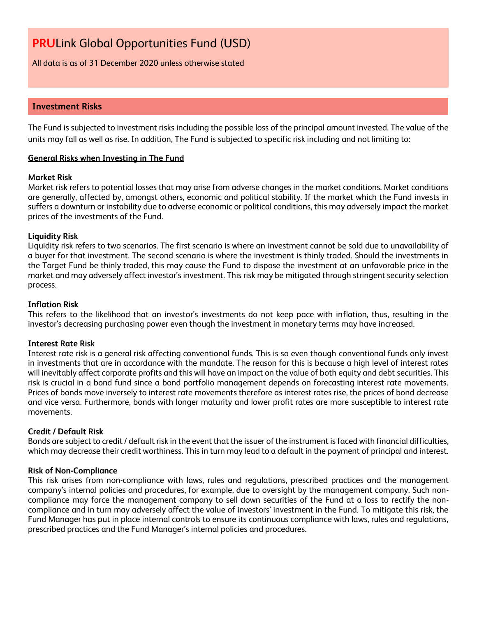All data is as of 31 December 2020 unless otherwise stated

# **Investment Risks**

The Fund is subjected to investment risks including the possible loss of the principal amount invested. The value of the units may fall as well as rise. In addition, The Fund is subjected to specific risk including and not limiting to:

#### **General Risks when Investing in The Fund**

#### **Market Risk**

Market risk refers to potential losses that may arise from adverse changes in the market conditions. Market conditions are generally, affected by, amongst others, economic and political stability. If the market which the Fund invests in suffers a downturn or instability due to adverse economic or political conditions, this may adversely impact the market prices of the investments of the Fund.

#### **Liquidity Risk**

Liquidity risk refers to two scenarios. The first scenario is where an investment cannot be sold due to unavailability of a buyer for that investment. The second scenario is where the investment is thinly traded. Should the investments in the Target Fund be thinly traded, this may cause the Fund to dispose the investment at an unfavorable price in the market and may adversely affect investor's investment. This risk may be mitigated through stringent security selection process.

#### **Inflation Risk**

This refers to the likelihood that an investor's investments do not keep pace with inflation, thus, resulting in the investor's decreasing purchasing power even though the investment in monetary terms may have increased.

#### **Interest Rate Risk**

Interest rate risk is a general risk affecting conventional funds. This is so even though conventional funds only invest in investments that are in accordance with the mandate. The reason for this is because a high level of interest rates will inevitably affect corporate profits and this will have an impact on the value of both equity and debt securities. This risk is crucial in a bond fund since a bond portfolio management depends on forecasting interest rate movements. Prices of bonds move inversely to interest rate movements therefore as interest rates rise, the prices of bond decrease and vice versa. Furthermore, bonds with longer maturity and lower profit rates are more susceptible to interest rate movements.

#### **Credit / Default Risk**

Bonds are subject to credit / default risk in the event that the issuer of the instrument is faced with financial difficulties, which may decrease their credit worthiness. This in turn may lead to a default in the payment of principal and interest.

#### **Risk of Non-Compliance**

This risk arises from non-compliance with laws, rules and regulations, prescribed practices and the management company's internal policies and procedures, for example, due to oversight by the management company. Such noncompliance may force the management company to sell down securities of the Fund at a loss to rectify the noncompliance and in turn may adversely affect the value of investors' investment in the Fund. To mitigate this risk, the Fund Manager has put in place internal controls to ensure its continuous compliance with laws, rules and regulations, prescribed practices and the Fund Manager's internal policies and procedures.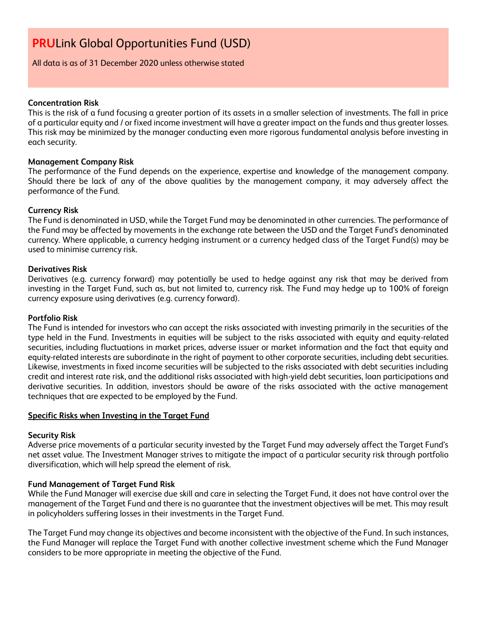All data is as of 31 December 2020 unless otherwise stated

#### **Concentration Risk**

This is the risk of a fund focusing a greater portion of its assets in a smaller selection of investments. The fall in price of a particular equity and / or fixed income investment will have a greater impact on the funds and thus greater losses. This risk may be minimized by the manager conducting even more rigorous fundamental analysis before investing in each security.

#### **Management Company Risk**

The performance of the Fund depends on the experience, expertise and knowledge of the management company. Should there be lack of any of the above qualities by the management company, it may adversely affect the performance of the Fund.

## **Currency Risk**

The Fund is denominated in USD, while the Target Fund may be denominated in other currencies. The performance of the Fund may be affected by movements in the exchange rate between the USD and the Target Fund's denominated currency. Where applicable, a currency hedging instrument or a currency hedged class of the Target Fund(s) may be used to minimise currency risk.

## **Derivatives Risk**

Derivatives (e.g. currency forward) may potentially be used to hedge against any risk that may be derived from investing in the Target Fund, such as, but not limited to, currency risk. The Fund may hedge up to 100% of foreign currency exposure using derivatives (e.g. currency forward).

#### **Portfolio Risk**

The Fund is intended for investors who can accept the risks associated with investing primarily in the securities of the type held in the Fund. Investments in equities will be subject to the risks associated with equity and equity-related securities, including fluctuations in market prices, adverse issuer or market information and the fact that equity and equity-related interests are subordinate in the right of payment to other corporate securities, including debt securities. Likewise, investments in fixed income securities will be subjected to the risks associated with debt securities including credit and interest rate risk, and the additional risks associated with high-yield debt securities, loan participations and derivative securities. In addition, investors should be aware of the risks associated with the active management techniques that are expected to be employed by the Fund.

#### **Specific Risks when Investing in the Target Fund**

#### **Security Risk**

Adverse price movements of a particular security invested by the Target Fund may adversely affect the Target Fund's net asset value. The Investment Manager strives to mitigate the impact of a particular security risk through portfolio diversification, which will help spread the element of risk.

# **Fund Management of Target Fund Risk**

While the Fund Manager will exercise due skill and care in selecting the Target Fund, it does not have control over the management of the Target Fund and there is no guarantee that the investment objectives will be met. This may result in policyholders suffering losses in their investments in the Target Fund.

The Target Fund may change its objectives and become inconsistent with the objective of the Fund. In such instances, the Fund Manager will replace the Target Fund with another collective investment scheme which the Fund Manager considers to be more appropriate in meeting the objective of the Fund.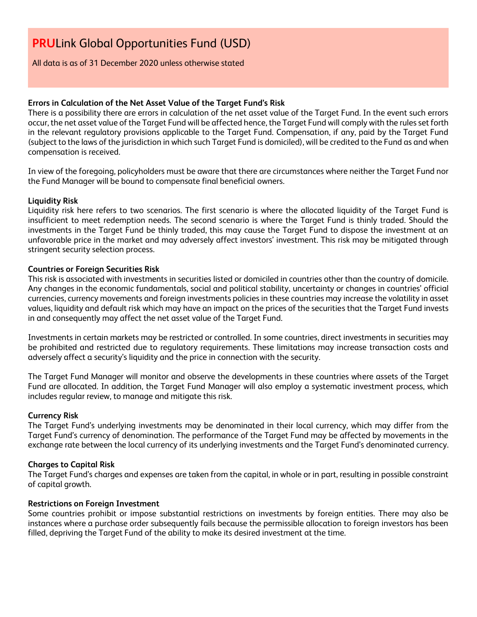All data is as of 31 December 2020 unless otherwise stated

## **Errors in Calculation of the Net Asset Value of the Target Fund's Risk**

There is a possibility there are errors in calculation of the net asset value of the Target Fund. In the event such errors occur, the net asset value of the Target Fund will be affected hence, the Target Fund will comply with the rules set forth in the relevant regulatory provisions applicable to the Target Fund. Compensation, if any, paid by the Target Fund (subject to the laws of the jurisdiction in which such Target Fund is domiciled), will be credited to the Fund as and when compensation is received.

In view of the foregoing, policyholders must be aware that there are circumstances where neither the Target Fund nor the Fund Manager will be bound to compensate final beneficial owners.

## **Liquidity Risk**

Liquidity risk here refers to two scenarios. The first scenario is where the allocated liquidity of the Target Fund is insufficient to meet redemption needs. The second scenario is where the Target Fund is thinly traded. Should the investments in the Target Fund be thinly traded, this may cause the Target Fund to dispose the investment at an unfavorable price in the market and may adversely affect investors' investment. This risk may be mitigated through stringent security selection process.

## **Countries or Foreign Securities Risk**

This risk is associated with investments in securities listed or domiciled in countries other than the country of domicile. Any changes in the economic fundamentals, social and political stability, uncertainty or changes in countries' official currencies, currency movements and foreign investments policies in these countries may increase the volatility in asset values, liquidity and default risk which may have an impact on the prices of the securities that the Target Fund invests in and consequently may affect the net asset value of the Target Fund.

Investments in certain markets may be restricted or controlled. In some countries, direct investments in securities may be prohibited and restricted due to regulatory requirements. These limitations may increase transaction costs and adversely affect a security's liquidity and the price in connection with the security.

The Target Fund Manager will monitor and observe the developments in these countries where assets of the Target Fund are allocated. In addition, the Target Fund Manager will also employ a systematic investment process, which includes regular review, to manage and mitigate this risk.

#### **Currency Risk**

The Target Fund's underlying investments may be denominated in their local currency, which may differ from the Target Fund's currency of denomination. The performance of the Target Fund may be affected by movements in the exchange rate between the local currency of its underlying investments and the Target Fund's denominated currency.

#### **Charges to Capital Risk**

The Target Fund's charges and expenses are taken from the capital, in whole or in part, resulting in possible constraint of capital growth.

#### **Restrictions on Foreign Investment**

Some countries prohibit or impose substantial restrictions on investments by foreign entities. There may also be instances where a purchase order subsequently fails because the permissible allocation to foreign investors has been filled, depriving the Target Fund of the ability to make its desired investment at the time.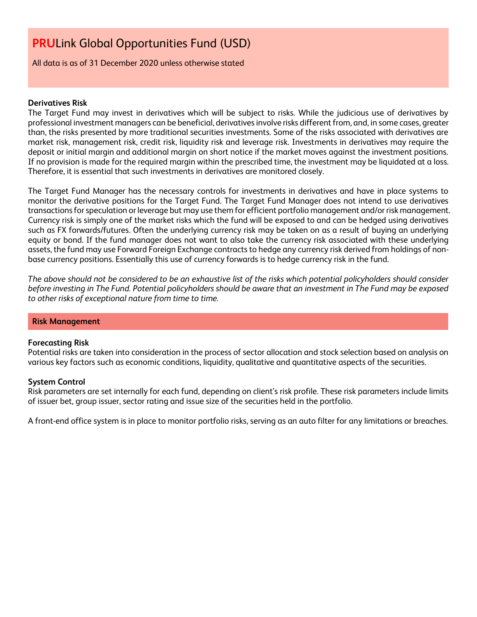All data is as of 31 December 2020 unless otherwise stated

## **Derivatives Risk**

The Target Fund may invest in derivatives which will be subject to risks. While the judicious use of derivatives by professional investment managers can be beneficial, derivatives involve risks different from, and, in some cases, greater than, the risks presented by more traditional securities investments. Some of the risks associated with derivatives are market risk, management risk, credit risk, liquidity risk and leverage risk. Investments in derivatives may require the deposit or initial margin and additional margin on short notice if the market moves against the investment positions. If no provision is made for the required margin within the prescribed time, the investment may be liquidated at a loss. Therefore, it is essential that such investments in derivatives are monitored closely.

The Target Fund Manager has the necessary controls for investments in derivatives and have in place systems to monitor the derivative positions for the Target Fund. The Target Fund Manager does not intend to use derivatives transactions for speculation or leverage but may use them for efficient portfolio management and/or risk management. Currency risk is simply one of the market risks which the fund will be exposed to and can be hedged using derivatives such as FX forwards/futures. Often the underlying currency risk may be taken on as a result of buying an underlying equity or bond. If the fund manager does not want to also take the currency risk associated with these underlying assets, the fund may use Forward Foreign Exchange contracts to hedge any currency risk derived from holdings of nonbase currency positions. Essentially this use of currency forwards is to hedge currency risk in the fund.

*The above should not be considered to be an exhaustive list of the risks which potential policyholders should consider before investing in The Fund. Potential policyholders should be aware that an investment in The Fund may be exposed to other risks of exceptional nature from time to time.*

#### **Risk Management**

#### **Forecasting Risk**

Potential risks are taken into consideration in the process of sector allocation and stock selection based on analysis on various key factors such as economic conditions, liquidity, qualitative and quantitative aspects of the securities.

#### **System Control**

Risk parameters are set internally for each fund, depending on client's risk profile. These risk parameters include limits of issuer bet, group issuer, sector rating and issue size of the securities held in the portfolio.

A front-end office system is in place to monitor portfolio risks, serving as an auto filter for any limitations or breaches.